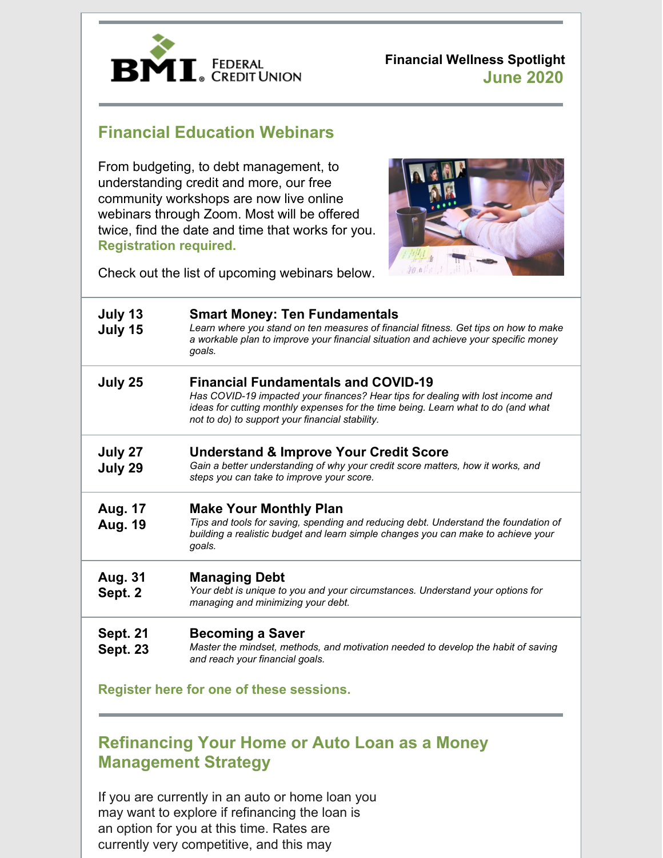

**Financial Wellness Spotlight June 2020**

# **Financial Education Webinars**

From budgeting, to debt management, to understanding credit and more, our free community workshops are now live online webinars through Zoom. Most will be offered twice, find the date and time that works for you. **[Registration](https://www.bmifcu.org/calendarindex.html) required.**



Check out the list of upcoming webinars below.

| July 13<br>July 15                       | <b>Smart Money: Ten Fundamentals</b><br>Learn where you stand on ten measures of financial fitness. Get tips on how to make<br>a workable plan to improve your financial situation and achieve your specific money<br>goals.                                          |
|------------------------------------------|-----------------------------------------------------------------------------------------------------------------------------------------------------------------------------------------------------------------------------------------------------------------------|
| July 25                                  | <b>Financial Fundamentals and COVID-19</b><br>Has COVID-19 impacted your finances? Hear tips for dealing with lost income and<br>ideas for cutting monthly expenses for the time being. Learn what to do (and what<br>not to do) to support your financial stability. |
| July 27<br>July 29                       | <b>Understand &amp; Improve Your Credit Score</b><br>Gain a better understanding of why your credit score matters, how it works, and<br>steps you can take to improve your score.                                                                                     |
| <b>Aug. 17</b><br>Aug. 19                | <b>Make Your Monthly Plan</b><br>Tips and tools for saving, spending and reducing debt. Understand the foundation of<br>building a realistic budget and learn simple changes you can make to achieve your<br>goals.                                                   |
| <b>Aug. 31</b><br>Sept. 2                | <b>Managing Debt</b><br>Your debt is unique to you and your circumstances. Understand your options for<br>managing and minimizing your debt.                                                                                                                          |
| <b>Sept. 21</b><br><b>Sept. 23</b>       | <b>Becoming a Saver</b><br>Master the mindset, methods, and motivation needed to develop the habit of saving<br>and reach your financial goals.                                                                                                                       |
| Register here for one of these sessions. |                                                                                                                                                                                                                                                                       |

# **Refinancing Your Home or Auto Loan as a Money Management Strategy**

If you are currently in an auto or home loan you may want to explore if refinancing the loan is an option for you at this time. Rates are currently very competitive, and this may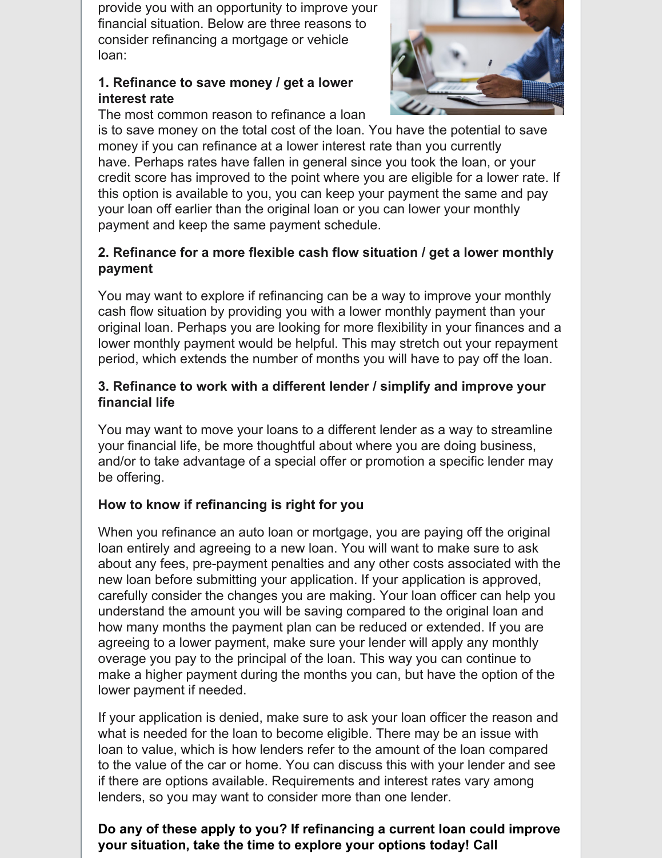provide you with an opportunity to improve your financial situation. Below are three reasons to consider refinancing a mortgage or vehicle loan:

### **1. Refinance to save money / get a lower interest rate**

The most common reason to refinance a loan



is to save money on the total cost of the loan. You have the potential to save money if you can refinance at a lower interest rate than you currently have. Perhaps rates have fallen in general since you took the loan, or your credit score has improved to the point where you are eligible for a lower rate. If this option is available to you, you can keep your payment the same and pay your loan off earlier than the original loan or you can lower your monthly payment and keep the same payment schedule.

## **2. Refinance for a more flexible cash flow situation / get a lower monthly payment**

You may want to explore if refinancing can be a way to improve your monthly cash flow situation by providing you with a lower monthly payment than your original loan. Perhaps you are looking for more flexibility in your finances and a lower monthly payment would be helpful. This may stretch out your repayment period, which extends the number of months you will have to pay off the loan.

### **3. Refinance to work with a different lender / simplify and improve your financial life**

You may want to move your loans to a different lender as a way to streamline your financial life, be more thoughtful about where you are doing business, and/or to take advantage of a special offer or promotion a specific lender may be offering.

## **How to know if refinancing is right for you**

When you refinance an auto loan or mortgage, you are paying off the original loan entirely and agreeing to a new loan. You will want to make sure to ask about any fees, pre-payment penalties and any other costs associated with the new loan before submitting your application. If your application is approved, carefully consider the changes you are making. Your loan officer can help you understand the amount you will be saving compared to the original loan and how many months the payment plan can be reduced or extended. If you are agreeing to a lower payment, make sure your lender will apply any monthly overage you pay to the principal of the loan. This way you can continue to make a higher payment during the months you can, but have the option of the lower payment if needed.

If your application is denied, make sure to ask your loan officer the reason and what is needed for the loan to become eligible. There may be an issue with loan to value, which is how lenders refer to the amount of the loan compared to the value of the car or home. You can discuss this with your lender and see if there are options available. Requirements and interest rates vary among lenders, so you may want to consider more than one lender.

## **Do any of these apply to you? If refinancing a current loan could improve your situation, take the time to explore your options today! Call**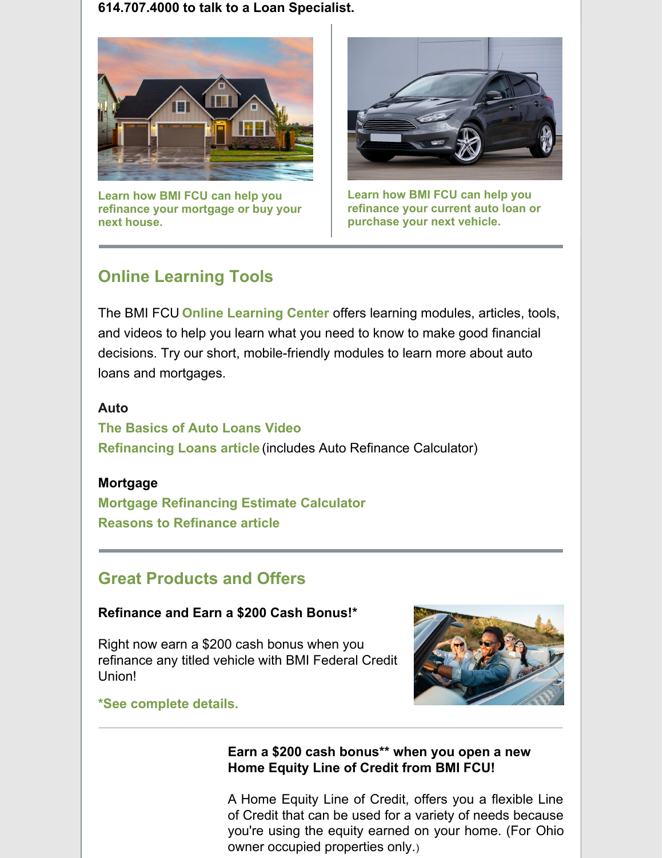**614.707.4000 to talk to a Loan Specialist.**



**Learn how BMI FCU can help you refinance your [mortgage](https://www.bmifcu.org/mortgages.html) or buy your next house.**



**Learn how BMI FCU can help you [refinance](https://www.bmifcu.org/auto_loans.html) your current auto loan or purchase your next vehicle.**

# **Online Learning Tools**

The BMI FCU **Online [Learning](https://www.bmifcu.org/onlinelearning.html) Center** offers learning modules, articles, tools, and videos to help you learn what you need to know to make good financial decisions. Try our short, mobile-friendly modules to learn more about auto loans and mortgages.

#### **Auto**

**The [Basics](https://bmifcu.everfi-next.net/student/dashboard/bmifcu/bmifcu-credit-borrowing/14#auto-loans/auto-loans-activity/video) of Auto Loans Video [Refinancing](https://bmifcu.learnbanzai.com/wellness/resources/refinancing-loans) Loans articl[e](https://bmifcu.learnbanzai.com/wellness/resources/refinancing-loans)** (includes Auto Refinance Calculator)

### **Mortgage**

**Mortgage [Refinancing](https://bmifcu.everfi-next.net/student/dashboard/bmifcu/bmifcu-home-ownership/175) Estimate Calculator Reasons to [Refinance](https://bmifcu.learnbanzai.com/wellness/resources/reasons-to-refinance) article**

# **Great Products and Offers**

### **Refinance and Earn a \$200 Cash Bonus!\***

Right now earn a \$200 cash bonus when you refinance any titled vehicle with BMI Federal Credit Union!



**\*See [complete](https://www.bmifcu.org/auto_loans.html) details.**

## **Earn a \$200 cash bonus\*\* when you open a new Home Equity Line of Credit from BMI FCU!**

A Home Equity Line of Credit, offers you a flexible Line of Credit that can be used for a variety of needs because you're using the equity earned on your home. (For Ohio owner occupied [properties](https://www.bmifcu.org/news/heloc2020.html) only.)